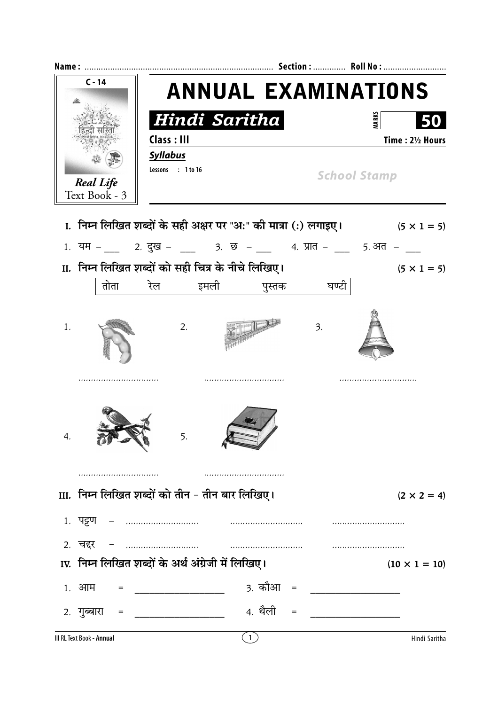| $C - 14$ |                                   | <b>ANNUAL EXAMINATIONS</b>                         |                |                 |       |                                                                                    |  |                  |  |
|----------|-----------------------------------|----------------------------------------------------|----------------|-----------------|-------|------------------------------------------------------------------------------------|--|------------------|--|
|          |                                   |                                                    |                |                 |       |                                                                                    |  |                  |  |
|          |                                   |                                                    |                | <b>Syllabus</b> |       |                                                                                    |  | Time: 21/2 Hours |  |
|          | <b>Real Life</b><br>Text Book - 3 | Lessons : 1 to 16                                  |                |                 |       | <b>School Stamp</b>                                                                |  |                  |  |
|          |                                   |                                                    |                |                 |       | I. निम्न लिखित शब्दों के सही अक्षर पर "अ:" की मात्रा (:) लगाइए। $(5 \times 1 = 5)$ |  |                  |  |
|          |                                   |                                                    |                |                 |       | 1. यम – ___ 2. दुख – ___ 3. छ – ___ 4. प्रात – ___ 5. अत – ___                     |  |                  |  |
|          |                                   | II. निम्न लिखित शब्दों को सही चित्र के नीचे लिखिए। |                |                 |       | $(5 \times 1 = 5)$                                                                 |  |                  |  |
|          |                                   | तोता रेल इमली                                      |                | पुस्तक          | घण्टी |                                                                                    |  |                  |  |
| 1.       |                                   | 2.                                                 |                |                 | 3.    |                                                                                    |  |                  |  |
| 4.       |                                   | 5.                                                 |                |                 |       |                                                                                    |  |                  |  |
|          |                                   | III. निम्न लिखित शब्दों को तीन - तीन बार लिखिए।    |                |                 |       | $(2 \times 2 = 4)$                                                                 |  |                  |  |
|          |                                   |                                                    |                |                 |       |                                                                                    |  |                  |  |
|          |                                   |                                                    |                |                 |       |                                                                                    |  |                  |  |
|          |                                   |                                                    |                |                 |       |                                                                                    |  |                  |  |
|          |                                   | IV. निम्न लिखित शब्दों के अर्थ अंग्रेजी में लिखिए। |                |                 |       | $(10 \times 1 = 10)$                                                               |  |                  |  |
|          | १. आम                             |                                                    |                |                 |       |                                                                                    |  |                  |  |
|          | 2. गुब्बारा =                     |                                                    |                | 4. थैली =       |       |                                                                                    |  |                  |  |
|          | III RL Text Book - Annual         |                                                    | $\overline{1}$ |                 |       | Hindi Saritha                                                                      |  |                  |  |